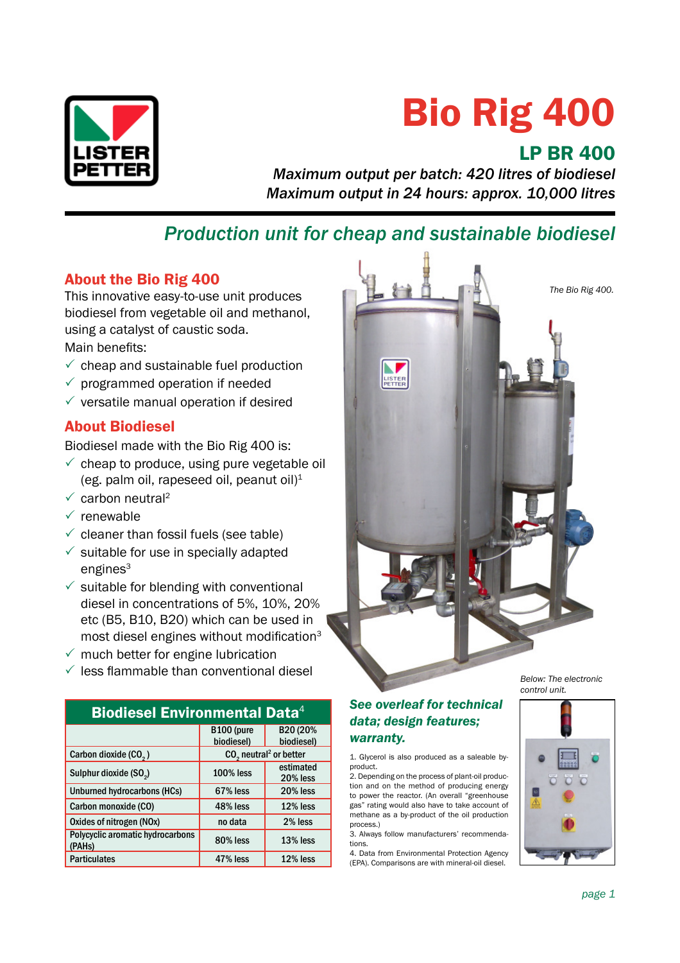

# Bio Rig 400

# LP BR 400

*Maximum output per batch: 420 litres of biodiesel Maximum output in 24 hours: approx. 10,000 litres*

# *Production unit for cheap and sustainable biodiesel*

# About the Bio Rig 400

This innovative easy-to-use unit produces biodiesel from vegetable oil and methanol, using a catalyst of caustic soda.

Main benefits:

- $\checkmark$  cheap and sustainable fuel production
- $\checkmark$  programmed operation if needed
- $\checkmark$  versatile manual operation if desired

# About Biodiesel

Biodiesel made with the Bio Rig 400 is:

- $\checkmark$  cheap to produce, using pure vegetable oil (eg. palm oil, rapeseed oil, peanut oil) $1$
- $\checkmark$  carbon neutral<sup>2</sup>
- $\checkmark$  renewable
- $\checkmark$  cleaner than fossil fuels (see table)
- $\checkmark$  suitable for use in specially adapted  $engines<sup>3</sup>$
- $\checkmark$  suitable for blending with conventional diesel in concentrations of 5%, 10%, 20% etc (B5, B10, B20) which can be used in most diesel engines without modification $3$
- $\checkmark$  much better for engine lubrication
- $\sqrt{\ }$  less flammable than conventional diesel

| <b>Biodiesel Environmental Data</b> <sup>4</sup> |                                      |            |  |
|--------------------------------------------------|--------------------------------------|------------|--|
|                                                  | B <sub>100</sub> (pure               | B20 (20%   |  |
|                                                  | biodiesel)                           | biodiesel) |  |
| Carbon dioxide (CO <sub>2</sub> )                | $CO2$ neutral <sup>2</sup> or better |            |  |
| Sulphur dioxide (SO <sub>2</sub> )               | <b>100% less</b>                     | estimated  |  |
|                                                  |                                      | 20% less   |  |
| <b>Unburned hydrocarbons (HCs)</b>               | 67% less                             | 20% less   |  |
| Carbon monoxide (CO)                             | 48% less                             | 12% less   |  |
| Oxides of nitrogen (NOx)                         | no data                              | 2% less    |  |
| Polycyclic aromatic hydrocarbons<br>(PAHs)       | 80% less                             | 13% less   |  |
| <b>Particulates</b>                              | 47% less                             | 12% less   |  |



*Below: The electronic control unit.*

## *See overleaf for technical data; design features; warranty.*

1. Glycerol is also produced as a saleable byproduct.

2. Depending on the process of plant-oil production and on the method of producing energy to power the reactor. (An overall "greenhouse gas" rating would also have to take account of methane as a by-product of the oil production process.)

3. Always follow manufacturers' recommendations.

4. Data from Environmental Protection Agency (EPA). Comparisons are with mineral-oil diesel.